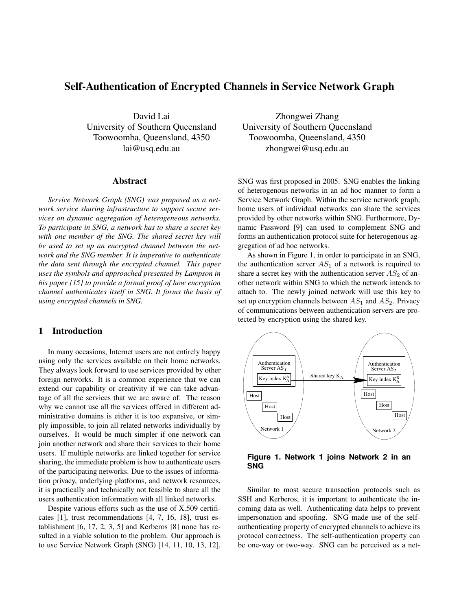# Self-Authentication of Encrypted Channels in Service Network Graph

David Lai University of Southern Queensland Toowoomba, Queensland, 4350 lai@usq.edu.au

### Abstract

*Service Network Graph (SNG) was proposed as a network service sharing infrastructure to support secure services on dynamic aggregation of heterogeneous networks. To participate in SNG, a network has to share a secret key with one member of the SNG. The shared secret key will be used to set up an encrypted channel between the network and the SNG member. It is imperative to authenticate the data sent through the encrypted channel. This paper uses the symbols and approached presented by Lampson in his paper [15] to provide a formal proof of how encryption channel authenticates itself in SNG. It forms the basis of using encrypted channels in SNG.*

# 1 Introduction

In many occasions, Internet users are not entirely happy using only the services available on their home networks. They always look forward to use services provided by other foreign networks. It is a common experience that we can extend our capability or creativity if we can take advantage of all the services that we are aware of. The reason why we cannot use all the services offered in different administrative domains is either it is too expansive, or simply impossible, to join all related networks individually by ourselves. It would be much simpler if one network can join another network and share their services to their home users. If multiple networks are linked together for service sharing, the immediate problem is how to authenticate users of the participating networks. Due to the issues of information privacy, underlying platforms, and network resources, it is practically and technically not feasible to share all the users authentication information with all linked networks.

Despite various efforts such as the use of X.509 certificates [1], trust recommendations [4, 7, 16, 18], trust establishment [6, 17, 2, 3, 5] and Kerberos [8] none has resulted in a viable solution to the problem. Our approach is to use Service Network Graph (SNG) [14, 11, 10, 13, 12].

Zhongwei Zhang University of Southern Queensland Toowoomba, Queensland, 4350 zhongwei@usq.edu.au

SNG was first proposed in 2005. SNG enables the linking of heterogenous networks in an ad hoc manner to form a Service Network Graph. Within the service network graph, home users of individual networks can share the services provided by other networks within SNG. Furthermore, Dynamic Password [9] can used to complement SNG and forms an authentication protocol suite for heterogenous aggregation of ad hoc networks.

As shown in Figure 1, in order to participate in an SNG, the authentication server  $AS_1$  of a network is required to share a secret key with the authentication server  $AS_2$  of another network within SNG to which the network intends to attach to. The newly joined network will use this key to set up encryption channels between  $AS_1$  and  $AS_2$ . Privacy of communications between authentication servers are protected by encryption using the shared key.



**Figure 1. Network 1 joins Network 2 in an SNG**

Similar to most secure transaction protocols such as SSH and Kerberos, it is important to authenticate the incoming data as well. Authenticating data helps to prevent impersonation and spoofing. SNG made use of the selfauthenticating property of encrypted channels to achieve its protocol correctness. The self-authentication property can be one-way or two-way. SNG can be perceived as a net-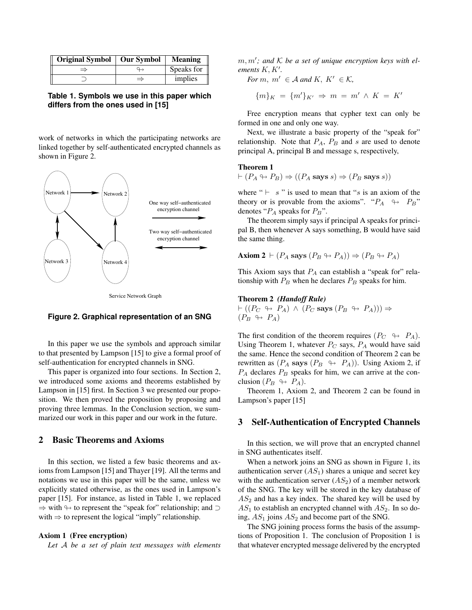| Original Symbol   Our Symbol |               | <b>Meaning</b> |
|------------------------------|---------------|----------------|
| $\Rightarrow$                |               | Speaks for     |
|                              | $\Rightarrow$ | implies        |

**Table 1. Symbols we use in this paper which differs from the ones used in [15]**

work of networks in which the participating networks are linked together by self-authenticated encrypted channels as shown in Figure 2.





#### **Figure 2. Graphical representation of an SNG**

In this paper we use the symbols and approach similar to that presented by Lampson [15] to give a formal proof of self-authentication for encrypted channels in SNG.

This paper is organized into four sections. In Section 2, we introduced some axioms and theorems established by Lampson in [15] first. In Section 3 we presented our proposition. We then proved the proposition by proposing and proving three lemmas. In the Conclusion section, we summarized our work in this paper and our work in the future.

# 2 Basic Theorems and Axioms

In this section, we listed a few basic theorems and axioms from Lampson [15] and Thayer [19]. All the terms and notations we use in this paper will be the same, unless we explicitly stated otherwise, as the ones used in Lampson's paper [15]. For instance, as listed in Table 1, we replaced  $\Rightarrow$  with  $\leftrightarrow$  to represent the "speak for" relationship; and  $\supset$ with  $\Rightarrow$  to represent the logical "imply" relationship.

#### Axiom 1 (Free encryption)

*Let* A *be a set of plain text messages with elements*

 $m, m'$ ; and  $K$  be a set of unique encryption keys with elements  $K, K'$ .

*For*  $m, m' \in \mathcal{A}$  *and*  $K, K' \in \mathcal{K}$ ,

$$
\{m\}_K = \{m'\}_{K'} \Rightarrow m = m' \land K = K'
$$

Free encryption means that cypher text can only be formed in one and only one way.

Next, we illustrate a basic property of the "speak for" relationship. Note that  $P_A$ ,  $P_B$  and s are used to denote principal A, principal B and message s, respectively,

# Theorem 1

$$
\vdash (P_A \leftrightarrow P_B) \Rightarrow ((P_A \text{ says } s) \Rightarrow (P_B \text{ says } s))
$$

where " $\vdash s$ " is used to mean that "s is an axiom of the theory or is provable from the axioms". " $P_A$   $\leftrightarrow$   $P_B$ " denotes " $P_A$  speaks for  $P_B$ ".

The theorem simply says if principal A speaks for principal B, then whenever A says something, B would have said the same thing.

**Axiom 2** 
$$
\vdash
$$
  $(P_A$  says  $(P_B \leftrightarrow P_A)) \Rightarrow (P_B \leftrightarrow P_A)$ 

This Axiom says that  $P_A$  can establish a "speak for" relationship with  $P_B$  when he declares  $P_B$  speaks for him.

#### Theorem 2 *(Handoff Rule)*

 $\vdash ((P_C \leftrightarrow P_A) \land (P_C \text{ says } (P_B \leftrightarrow P_A))) \Rightarrow$  $(P_B \leftrightarrow P_A)$ 

The first condition of the theorem requires  $(P_C \leftrightarrow P_A)$ . Using Theorem 1, whatever  $P_C$  says,  $P_A$  would have said the same. Hence the second condition of Theorem 2 can be rewritten as  $(P_A \text{ says } (P_B \leftrightarrow P_A))$ . Using Axiom 2, if  $P_A$  declares  $P_B$  speaks for him, we can arrive at the conclusion  $(P_B \leftrightarrow P_A)$ .

Theorem 1, Axiom 2, and Theorem 2 can be found in Lampson's paper [15]

### 3 Self-Authentication of Encrypted Channels

In this section, we will prove that an encrypted channel in SNG authenticates itself.

When a network joins an SNG as shown in Figure 1, its authentication server  $(AS_1)$  shares a unique and secret key with the authentication server  $(AS_2)$  of a member network of the SNG. The key will be stored in the key database of  $AS<sub>2</sub>$  and has a key index. The shared key will be used by  $AS_1$  to establish an encrypted channel with  $AS_2$ . In so doing,  $AS_1$  joins  $AS_2$  and become part of the SNG.

The SNG joining process forms the basis of the assumptions of Proposition 1. The conclusion of Proposition 1 is that whatever encrypted message delivered by the encrypted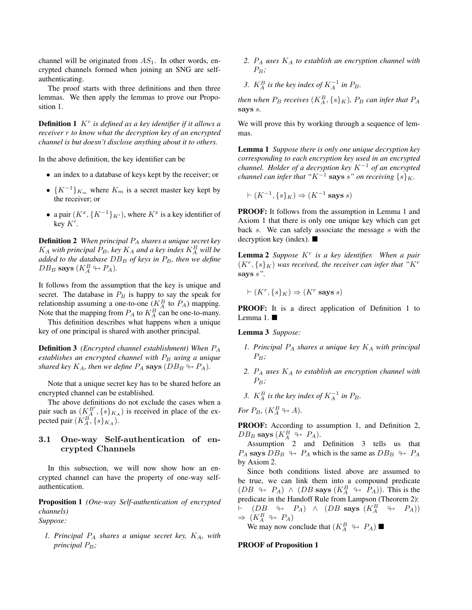channel will be originated from  $AS_1$ . In other words, encrypted channels formed when joining an SNG are selfauthenticating.

The proof starts with three definitions and then three lemmas. We then apply the lemmas to prove our Proposition 1.

Definition 1 K<sup>r</sup> *is defined as a key identifier if it allows a receiver* r *to know what the decryption key of an encrypted channel is but doesn't disclose anything about it to others.*

In the above definition, the key identifier can be

- an index to a database of keys kept by the receiver; or
- $\{K^{-1}\}_{K_m}$  where  $K_m$  is a secret master key kept by the receiver; or
- a pair  $(K^x, \{K^{-1}\}_K)$ , where  $K^x$  is a key identifier of key  $K'$ .

Definition 2 *When principal* P<sup>A</sup> *shares a unique secret key*  $K_A$  with principal  $P_B$ , key  $K_A$  and a key index  $K_A^B$  will be *added to the database*  $DB_B$  *of keys in*  $P_B$ *, then we define*  $DB_B$  says  $(K_A^B \leftrightarrow P_A)$ .

It follows from the assumption that the key is unique and secret. The database in  $P_B$  is happy to say the speak for relationship assuming a one-to-one ( $K_A^B$  to  $P_A$ ) mapping. Note that the mapping from  $P_A$  to  $K_A^B$  can be one-to-many.

This definition describes what happens when a unique key of one principal is shared with another principal.

Definition 3 *(Encrypted channel establishment) When* P<sup>A</sup> *establishes an encrypted channel with*  $P_B$  *using a unique shared key*  $K_A$ *, then we define*  $P_A$  **says**  $(DB_B \nrightarrow P_A)$ *.* 

Note that a unique secret key has to be shared before an encrypted channel can be established.

The above definitions do not exclude the cases when a pair such as  $(K_A^{B'} , \{s\}_{K_A})$  is received in place of the expected pair  $(K_A^B, \{s\}_{K_A}).$ 

# 3.1 One-way Self-authentication of encrypted Channels

In this subsection, we will now show how an encrypted channel can have the property of one-way selfauthentication.

Proposition 1 *(One-way Self-authentication of encrypted channels) Suppose:*

*1. Principal* P<sup>A</sup> *shares a unique secret key,* KA*, with principal*  $P_B$ ;

- *2.* P<sup>A</sup> *uses* K<sup>A</sup> *to establish an encryption channel with*  $P_B$
- 3.  $K_A^B$  is the key index of  $K_A^{-1}$  in  $P_B$ .

*then when*  $P_B$  *receives*  $(K_A^B, \{s\}_K)$ *,*  $P_B$  *can infer that*  $P_A$ says s*.*

We will prove this by working through a sequence of lemmas.

Lemma 1 *Suppose there is only one unique decryption key corresponding to each encryption key used in an encrypted channel. Holder of a decryption key* K<sup>−</sup><sup>1</sup> *of an encrypted channel can infer that* " $K^{-1}$  says s" on receiving  $\{s\}_K$ .

$$
\vdash (K^{-1}, \{s\}_K) \Rightarrow (K^{-1} \text{ says } s)
$$

PROOF: It follows from the assumption in Lemma 1 and Axiom 1 that there is only one unique key which can get back s. We can safely associate the message s with the decryption key (index).  $\blacksquare$ 

Lemma 2 *Suppose* K<sup>r</sup> *is a key identifier. When a pair*  $(K^r, \{s\}_K)$  was received, the receiver can infer that " $K^r$ says s*".*

$$
\vdash (K^r, \{s\}_K) \Rightarrow (K^r \text{ says } s)
$$

PROOF: It is a direct application of Definition 1 to Lemma 1.

Lemma 3 *Suppose:*

- *1. Principal* P<sup>A</sup> *shares a unique key* K<sup>A</sup> *with principal*  $P_B$
- *2.* P<sup>A</sup> *uses* K<sup>A</sup> *to establish an encryption channel with*  $P_B$ *:*
- 3.  $K_A^B$  *is the key index of*  $K_A^{-1}$  *in*  $P_B$ *.*

$$
\text{For }P_B,\,(K^B_A\looparrowright A).
$$

PROOF: According to assumption 1, and Definition 2,  $DB_B$  says  $(K_A^B \looparrowright P_A)$ .

Assumption 2 and Definition 3 tells us that  $P_A$  says  $DB_B \leftrightarrow P_A$  which is the same as  $DB_B \leftrightarrow P_A$ by Axiom 2.

Since both conditions listed above are assumed to be true, we can link them into a compound predicate  $(DB \leftrightarrow P_A) \wedge (DB$  says  $(K_A^B \leftrightarrow P_A))$ . This is the predicate in the Handoff Rule from Lampson (Theorem 2):  $\vdash$  (DB  $\leftrightarrow$  P<sub>A</sub>)  $\land$  (DB says  $(K_A^B \leftrightarrow P_A))$  $\Rightarrow$   $(K_A^B \leftrightarrow P_A)$ 

We may now conclude that  $(K_A^B \leftrightarrow P_A)$ 

### PROOF of Proposition 1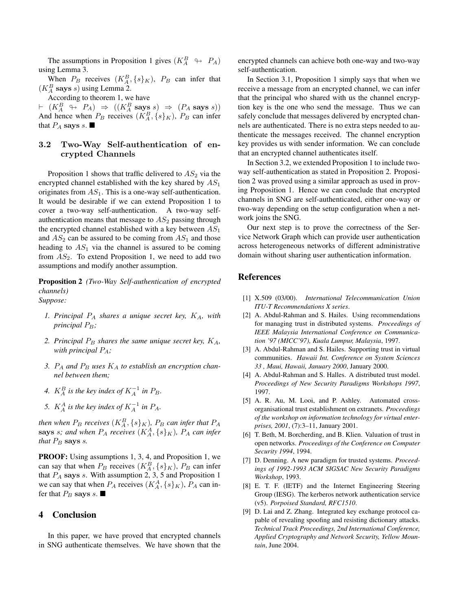The assumptions in Proposition 1 gives  $(K_A^B \leftrightarrow P_A)$ using Lemma 3.

When  $P_B$  receives  $(K_A^B, \{s\}_K)$ ,  $P_B$  can infer that  $(K_A^B$  says s) using Lemma 2.

According to theorem 1, we have

 $\vdash (K_A^B \leftrightarrow P_A) \Rightarrow ((K_A^B \text{ says } s) \Rightarrow (P_A \text{ says } s))$ And hence when  $P_B$  receives  $(K_A^B, \{s\}_K)$ ,  $P_B$  can infer that  $P_A$  says s.

# 3.2 Two-Way Self-authentication of encrypted Channels

Proposition 1 shows that traffic delivered to  $AS_2$  via the encrypted channel established with the key shared by  $AS_1$ originates from  $AS_1$ . This is a one-way self-authentication. It would be desirable if we can extend Proposition 1 to cover a two-way self-authentication. A two-way selfauthentication means that message to  $AS<sub>2</sub>$  passing through the encrypted channel established with a key between  $AS_1$ and  $AS_2$  can be assured to be coming from  $AS_1$  and those heading to  $AS_1$  via the channel is assured to be coming from  $AS_2$ . To extend Proposition 1, we need to add two assumptions and modify another assumption.

Proposition 2 *(Two-Way Self-authentication of encrypted channels)*

- *Suppose:*
	- *1. Principal* P<sup>A</sup> *shares a unique secret key,* KA*, with principal*  $P_B$ ;
	- *2. Principal*  $P_B$  *shares the same unique secret key,*  $K_A$ *, with principal* PA*;*
	- 3.  $P_A$  and  $P_B$  uses  $K_A$  to establish an encryption chan*nel between them;*
	- 4.  $K_A^B$  is the key index of  $K_A^{-1}$  in  $P_B$ .
	- 5.  $K_A^A$  is the key index of  $K_A^{-1}$  in  $P_A$ .

*then when*  $P_B$  *receives*  $(K_A^B, \{s\}_K)$ *,*  $P_B$  *can infer that*  $P_A$ says *s*; and when  $P_A$  receives  $(K_A^A, \{s\}_K)$ ,  $P_A$  can infer *that*  $P_B$  says *s*.

PROOF: Using assumptions 1, 3, 4, and Proposition 1, we can say that when  $P_B$  receives  $(K_A^B, \{s\}_K)$ ,  $P_B$  can infer that  $P_A$  says s. With assumption 2, 3, 5 and Proposition 1 we can say that when  $P_A$  receives  $(K_A^A, \{s\}_K)$ ,  $P_A$  can infer that  $P_B$  says s.

# 4 Conclusion

In this paper, we have proved that encrypted channels in SNG authenticate themselves. We have shown that the encrypted channels can achieve both one-way and two-way self-authentication.

In Section 3.1, Proposition 1 simply says that when we receive a message from an encrypted channel, we can infer that the principal who shared with us the channel encryption key is the one who send the message. Thus we can safely conclude that messages delivered by encrypted channels are authenticated. There is no extra steps needed to authenticate the messages received. The channel encryption key provides us with sender information. We can conclude that an encrypted channel authenticates itself.

In Section 3.2, we extended Proposition 1 to include twoway self-authentication as stated in Proposition 2. Proposition 2 was proved using a similar approach as used in proving Proposition 1. Hence we can conclude that encrypted channels in SNG are self-authenticated, either one-way or two-way depending on the setup configuration when a network joins the SNG.

Our next step is to prove the correctness of the Service Network Graph which can provide user authentication across heterogeneous networks of different administrative domain without sharing user authentication information.

#### References

- [1] X.509 (03/00). *International Telecommunication Union ITU-T Recommendations X series*.
- [2] A. Abdul-Rahman and S. Hailes. Using recommendations for managing trust in distributed systems. *Proceedings of IEEE Malaysia International Conference on Communication '97 (MICC'97), Kuala Lumpur, Malaysia*, 1997.
- [3] A. Abdul-Rahman and S. Hailes. Supporting trust in virtual communities. *Hawaii Int. Conference on System Sciences 33 , Maui, Hawaii, January 2000*, January 2000.
- [4] A. Abdul-Rahman and S. Halles. A distributed trust model. *Proceedings of New Security Paradigms Workshops 1997*, 1997.
- [5] A. R. Au, M. Looi, and P. Ashley. Automated crossorganisational trust establishment on extranets. *Proceedings of the workshop on information technology for virtual enterprises, 2001*, (7):3–11, January 2001.
- [6] T. Beth, M. Borcherding, and B. Klien. Valuation of trust in open networks. *Proceedings of the Conference on Computer Security 1994*, 1994.
- [7] D. Denning. A new paradigm for trusted systems. *Proceedings of 1992-1993 ACM SIGSAC New Security Paradigms Workshop*, 1993.
- [8] E. T. F. (IETF) and the Internet Engineering Steering Group (IESG). The kerberos network authentication service (v5). *Porpoised Standard, RFC1510*.
- [9] D. Lai and Z. Zhang. Integrated key exchange protocol capable of revealing spoofing and resisting dictionary attacks. *Technical Track Proceedings, 2nd International Conference, Applied Cryptography and Network Security, Yellow Mountain*, June 2004.